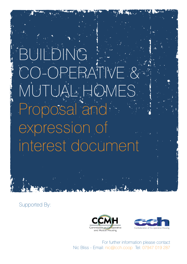# BUILDING CO-OPERATION CO-OPERATION MUTUAL HOMES Proposal and expression of interest document

Supported By:





For further information please contact Nic Bliss - Email: nic@cch.coop Tel: 07947 019 287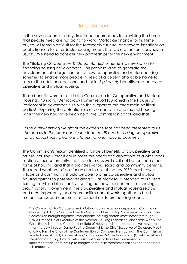# Introduction

In the new economic reality, traditional approaches to providing the homes that people need are not going to work. Mortgage finance for first time buyers will remain difficult for the foreseeable future, and severe limitations on public finance for affordable housing means that we are far from "business as usual". We need to consider new partnerships for the new environment.

The "Building Co-operative & Mutual Homes" scheme is a new option for financing housing development. This proposal aims to generate the development of a large number of new co-operative and mutual housing schemes to enable more people in need of a decent affordable home to secure the additional personal and social *Big Society* benefits created by cooperative and mutual housing.

These benefits were set out in the Commission for Co-operative and Mutual Housing's "Bringing Democracy Home" report launched in the Houses of Parliament in November 2009 with the support of the three main political parties<sup>1</sup>. Exploring the potential role of co-operative and mutual housing within the new housing environment, the Commission concluded that:

*"The overwhelming weight of the evidence that has been presented to us has led us to the clear conclusion that the UK needs to bring co-operative and mutual housing options into our national housing policies".*

The Commission's report identified a range of benefits of co-operative and mutual housing – that it could meet the needs and aspirations of a wide cross section of our community; that it performs as well as, if not better, than other forms of housing; and that it provides various social and community benefits. The report went on to "call for an aim to be set that by 2030, each town, village and community should be able to offer co-operative and mutual housing options to potential residents". This proposal is intended to kickstart turning this vision into a reality – setting out how local authorities, housing organisations, government, the co-operative and mutual housing sectors, and most importantly local communities can all work together to build mutual homes and communities to meet our future housing needs.

 <sup>1</sup> The Commission for Co-operative & Mutual Housing was an independent Commission chaired by Adrian Coles, the Director General of the Building Societies Association. The Commission brought together "mainstream" housing sectors (most notably through David Orr, the Chief Executive of the National Housing Federation, and Sarah Webb, the Chief Executive of the Chartered Institute of Housing) with the co-operative movement (most notably through Dame Pauline Green MBE, the Chief Executive of Co-operativesUK, and Nic Bliss, the Chair of the Confederation of Co-operative Housing). The Commission was led operationally by Executive Commissioner Dr Chris Handy MBE (Chief Executive of the Accord Housing Group), who has continued to lead the Commission's Implementation Team, set up to progress some of its recommendations and to facilitate this proposal.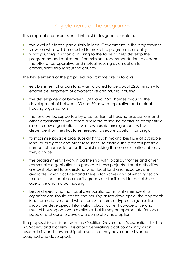# Key elements of the programme

This proposal and expression of interest is designed to explore:

- the level of interest, particularly in local Government, in the programme;
- views on what will be needed to make the programme a reality
- what your organisation can bring to the table to help develop the programme and realise the Commission's recommendation to expand the offer of co-operative and mutual housing as an option for communities throughout the country

The key elements of the proposed programme are as follows:

- establishment of a loan fund anticipated to be about £250 million to enable development of co-operative and mutual housing
- $\cdot$  the development of between 1,500 and 2,500 homes through the development of between 30 and 50 new co-operative and mutual housing organisations
- the fund will be supported by a consortium of housing associations and other organisations with assets available to secure capital at competitive rates to new organisations (asset ownership arrangements will be dependent on the structures needed to secure capital financing).
- to maximise possible cross subsidy (through making best use of available land, public grant and other resources) to enable the greatest possible number of homes to be built - whilst making the homes as affordable as they can be
- $\cdot$  the programme will work in partnership with local authorities and other community organisations to generate these projects. Local authorities are best placed to understand what local land and resources are available; what local demand there is for homes and of what type; and to ensure that local community groups are facilitated to establish cooperative and mutual housing
- beyond specifying that local democratic community membership organisations should control the housing assets developed, the approach is not prescriptive about what homes, tenures or type of organisation should be developed. Information about current co-operative and mutual housing options is available, but it may be appropriate for local people to choose to develop a completely new option.

The proposal is consistent with the Coalition Government's aspirations for the Big Society and localism. It is about generating local community vision, responsibility and stewardship of assets that they have commissioned, designed and developed.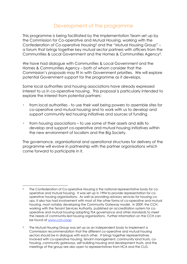#### Development of the programme

This programme is being facilitated by the Implementation Team set up by the Commission for Co-operative and Mutual Housing, working with the Confederation of Co-operative Housing2 and the "Mutual Housing Group" – a forum that brings together key mutual sector partners with officers from the Communities & Local Government and the Homes & Communities Agency3.

We have had dialogue with Communities & Local Government and the Homes & Communities Agency – both of whom consider that the Commission's proposals may fit in with Government priorities. We will explore potential Government support for the programme as it develops.

Some local authorities and housing associations have already expressed interest to us in co-operative housing. This proposal is particularly intended to explore the interest from potential partners:

- from local authorities to use their well being powers to assemble sites for co-operative and mutual housing and to work with us to develop and support community led housing initiatives and sources of funding
- from housing associations to use some of their assets and skills to develop and support co-operative and mutual housing initiatives within the new environment of localism and the Big Society.

The governance, organisational and operational structures for delivery of the programme will evolve in partnership with the partner organisations which come forward to participate in it.

<sup>&</sup>lt;sup>2</sup> The Confederation of Co-operative Housing is the national representative body for cooperative and mutual housing. It was set up in 1994 to provide representation for cooperative housing organisations. As well as providing advisory services for housing coops, it also has had involvement with most of the other forms of co-operative and mutual housing, most notably developing the Community Gateway model. In 2009, the CCH, working with the Tenant Services Authority, published an accreditation system for cooperative and mutual housing adapting TSA governance and other standards to meet the needs of community-led housing organisations. Further information on the CCH can be found at www.cch.coop

<sup>&</sup>lt;sup>3</sup> The Mutual Housing Group was set up as an independent body to implement a Commission recommendation that the different co-operative and mutual housing sectors should be in dialogue with each other. It brings together representatives involved with co-operative housing, tenant management, community land trusts, cohousing, community gateways, self building housing and development trusts, and the meetings of the group are also open to representatives from HCA and the CLG.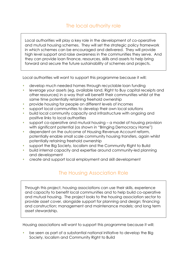# The local authority role

Local authorities will play a key role in the development of co-operative and mutual housing schemes. They will set the strategic policy framework in which schemes can be encouraged and delivered. They will provide high level support and raise awareness in the communities they serve. And they can provide loan finance, resources, skills and assets to help bring forward and secure the future sustainability of schemes and projects.

Local authorities will want to support this programme because it will:

- develop much needed homes through recyclable loan funding
- leverage your assets (eg. available land, Right to Buy capital receipts and other resources) in a way that will benefit their communities whilst at the same time potentially retaining freehold ownership
- provide housing for people on different levels of incomes
- support local communities to develop their own local solutions
- build local community capacity and infrastructure with ongoing and positive links to local authorities
- support co-operative and mutual housing a model of housing provision with significant potential (as shown in "Bringing Democracy Home")
- dependent on the outcome of Housing Revenue Account reform, potentially enable small scale community housing transfers, again whilst potentially retaining freehold ownership
- support the Big Society, localism and the Community Right to Build
- build internal capacity and expertise around community-led planning and development
- create and support local employment and skill development

# The Housing Association Role

Through this project, housing associations can use their skills, experience and capacity to benefit local communities and to help build co-operative and mutual housing. The project looks to the housing association sector to provide asset cover, alongside support for planning and design; financing and construction; management and maintenance models; and long term asset stewardship.

Housing associations will want to support this programme because it will:

 be seen as part of a substantial national initiative to develop the Big Society, localism and Community Right to Build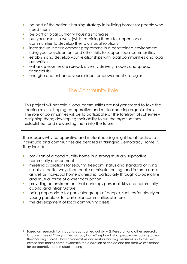- be part of the nation's housing strategy in building homes for people who need them
- be part of local authority housing strategies
- put your assets to work (whilst retaining them) to support local communities to develop their own local solutions
- increase your development programme in a constrained environment, using your development and other skills to support local communities
- establish and develop your relationships with local communities and local authorities
- enhance your tenure spread, diversify delivery models and spread financial risk
- energise and enhance your resident empowerment strategies

# The Community Role

This project will not exist if local communities are not generated to take the leading role in shaping co-operative and mutual housing organisations. The role of communities will be to participate at the forefront of schemes – designing them; developing their ability to run the organisations established; and stewarding them into the future.

The reasons why co-operative and mutual housing might be attractive to individuals and communities are detailed in "Bringing Democracy Home"4. They include:

- provision of a good quality home in a strong mutually supportive community environment
- meeting aspirations for security, freedom, status and standard of living usually in better ways than public or private renting, and in some cases, as well as individual home ownership, particularly through co-operative and mutual forms of owner occupation
- providing an environment that develops personal skills and community capital and infrastructure
- being appropriate for particular groups of people, such as for elderly or young people or for particular communities of interest
- the development of local community assets

<sup>4</sup> Based on research from focus groups carried out by MEL Research and other research, Chapter three of "Bringing Democracy Home" explored what people are looking for from their housing choices; how co-operative and mutual housing measures up to the key criteria that makes home ownership the aspiration of choice and the positive aspirations for co-operative and mutual housing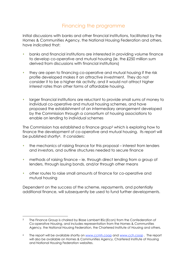# Financing the programme

Initial discussions with banks and other financial institutions, facilitated by the Homes & Communities Agency, the National Housing Federation and others, have indicated that:

- banks and financial institutions are interested in providing volume finance to develop co-operative and mutual housing (ie. the £250 million sum derived from discussions with financial institutions)
- they are open to financing co-operative and mutual housing if the risk profile developed makes it an attractive investment. They do not consider it to be a higher risk activity, and it would not attract higher interest rates than other forms of affordable housing.
- larger financial institutions are reluctant to provide small sums of money to individual co-operative and mutual housing schemes, and have proposed the establishment of an intermediary arrangement developed by the Commission through a consortium of housing associations to enable on lending to individual schemes

The Commission has established a finance group5 which is exploring how to finance the development of co-operative and mutual housing. Its report will be published shortly<sup>6</sup>. It considers:

- the mechanics of raising finance for this proposal interest from lenders and investors, and outline structures needed to secure finance
- methods of raising finance ie. through direct lending from a group of lenders, through issuing bonds, and/or through other means
- other routes to raise small amounts of finance for co-operative and mutual housing

Dependent on the success of the scheme, repayments, and potentially additional finance, will subsequently be used to fund further developments.

 <sup>5</sup> The Finance Group is chaired by Blase Lambert BSc(Econ) from the Confederation of Co-operative Housing, and includes representation from the Homes & Communities Agency, the National Housing Federation, the Chartered Institute of Housing and others.

<sup>6</sup> The report will be available shortly on www.ccmh.coop and www.cch.coop . The report will also be available on Homes & Communities Agency, Chartered Institute of Housing and National Housing Federation websites.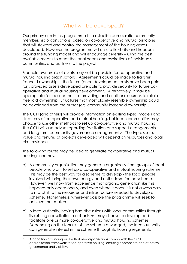# What will be developed?

Our primary aim in this programme is to establish democratic community membership organisations, based on co-operative and mutual principles, that will steward and control the management of the housing assets developed. However the programme will ensure flexibility and freedom around the funding model and will encourage diversity – using the best available means to meet the local needs and aspirations of individuals, communities and partners to the project.

Freehold ownership of assets may not be possible for co-operative and mutual housing organisations. Agreements could be made to transfer freehold ownership in the future (once development costs have been paid for), provided assets developed are able to provide security for future cooperative and mutual housing development. Alternatively, it may be appropriate for local authorities providing land or other resources to retain freehold ownership. Structures that most closely resemble ownership could be developed from the outset (eg. community leasehold ownership).

The CCH (and others) will provide information on existing types, models and structures of co-operative and mutual housing, but local communities may choose to use other methods to set up co-operative and mutual housing. The CCH will also advise regarding facilitation and support arrangements, and long term community governance arrangements<sup>7</sup>. The type, scale, value and tenures of projects developed will depend on resources and local circumstances.

The following routes may be used to generate co-operative and mutual housing schemes:

- a) A community organisation may generate organically from groups of local people who want to set up a co-operative and mutual housing scheme. This may be the best way for a scheme to develop - the local people involved will bring their own energy and enthusiasm for the scheme. However, we know from experience that organic generation like this happens only occasionally, and even where it does, it is not always easy to match it to the resources and infrastructure needed to develop a scheme. Nonetheless, wherever possible the programme will seek to achieve that match.
- b) A local authority, having had discussions with local communities through its existing consultation mechanisms, may choose to develop and facilitate one or more co-operative and mutual housing schemes. Depending on the tenures of the scheme envisaged, the local authority can generate interest in the scheme through its housing register, its

<sup>&</sup>lt;sup>7</sup> A condition of funding will be that new organisations comply with the CCH accreditation framework for co-operative housing, ensuring appropriate and effective governance and viability.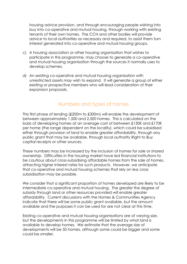housing advice provision, and through encouraging people wishing into buy into co-operative and mutual housing, through working with existing tenants of their own homes. The CCH and other bodies will provide advice to local authorities as necessary and required, to assist them turn interest generated into co-operative and mutual housing groups.

- c) A housing association or other housing organisation that wishes to participate in this programme, may choose to generate a co-operative and mutual housing organisation through the sources it normally uses to develop schemes.
- d) An existing co-operative and mutual housing organisation with unrestricted assets may wish to expand. It will generate a group of either existing or prospective members who will lead consideration of their expansion proposals.

#### Numbers and types of homes

This first phase of lending (£200m to £300m) will enable the development of between approximately 1,500 and 2,500 homes. This is calculated on the basis of developing homes at an average cost of between £130K and £170K per home (the range dependent on the locality), which could be subsidised either through provision of land to enable greater affordability, through any public grant that may be available, through local authority Right to Buy capital receipts or other sources.

These numbers may be increased by the inclusion of homes for sale or shared ownership. Difficulties in the housing market have led financial institutions to be cautious about cross-subsidising affordable homes from the sale of homes, attracting higher interest rates for such products. However, we anticipate that co-operative and mutual housing schemes that rely on less cross subsidisation may be possible.

We consider that a significant proportion of homes developed are likely to be intermediate co-operative and mutual housing. The greater the degree of subsidy through land or other resources provided will enable greater affordability. Current discussions with the Homes & Communities Agency indicate that there will be some public grant available, but the amount available and the purposes it can be used for are not clear at this time.

Existing co-operative and mutual housing organisations are of varying size, but the developments in this programme will be limited by what land is available to develop homes. We estimate that the average size of developments will be 50 homes, although some could be bigger and some could be smaller.